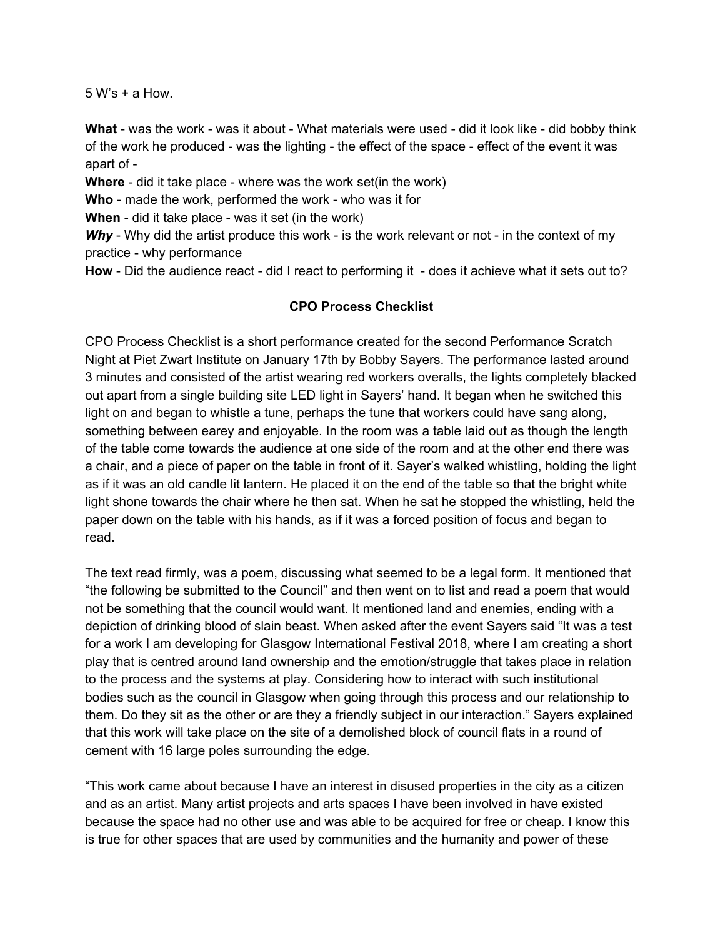5 W's + a How.

**What** - was the work - was it about - What materials were used - did it look like - did bobby think of the work he produced - was the lighting - the effect of the space - effect of the event it was apart of -

**Where** - did it take place - where was the work set(in the work)

**Who** - made the work, performed the work - who was it for

**When** - did it take place - was it set (in the work)

*Why* - Why did the artist produce this work - is the work relevant or not - in the context of my practice - why performance

**How** - Did the audience react - did I react to performing it - does it achieve what it sets out to?

## **CPO Process Checklist**

CPO Process Checklist is a short performance created for the second Performance Scratch Night at Piet Zwart Institute on January 17th by Bobby Sayers. The performance lasted around 3 minutes and consisted of the artist wearing red workers overalls, the lights completely blacked out apart from a single building site LED light in Sayers' hand. It began when he switched this light on and began to whistle a tune, perhaps the tune that workers could have sang along, something between earey and enjoyable. In the room was a table laid out as though the length of the table come towards the audience at one side of the room and at the other end there was a chair, and a piece of paper on the table in front of it. Sayer's walked whistling, holding the light as if it was an old candle lit lantern. He placed it on the end of the table so that the bright white light shone towards the chair where he then sat. When he sat he stopped the whistling, held the paper down on the table with his hands, as if it was a forced position of focus and began to read.

The text read firmly, was a poem, discussing what seemed to be a legal form. It mentioned that "the following be submitted to the Council" and then went on to list and read a poem that would not be something that the council would want. It mentioned land and enemies, ending with a depiction of drinking blood of slain beast. When asked after the event Sayers said "It was a test for a work I am developing for Glasgow International Festival 2018, where I am creating a short play that is centred around land ownership and the emotion/struggle that takes place in relation to the process and the systems at play. Considering how to interact with such institutional bodies such as the council in Glasgow when going through this process and our relationship to them. Do they sit as the other or are they a friendly subject in our interaction." Sayers explained that this work will take place on the site of a demolished block of council flats in a round of cement with 16 large poles surrounding the edge.

"This work came about because I have an interest in disused properties in the city as a citizen and as an artist. Many artist projects and arts spaces I have been involved in have existed because the space had no other use and was able to be acquired for free or cheap. I know this is true for other spaces that are used by communities and the humanity and power of these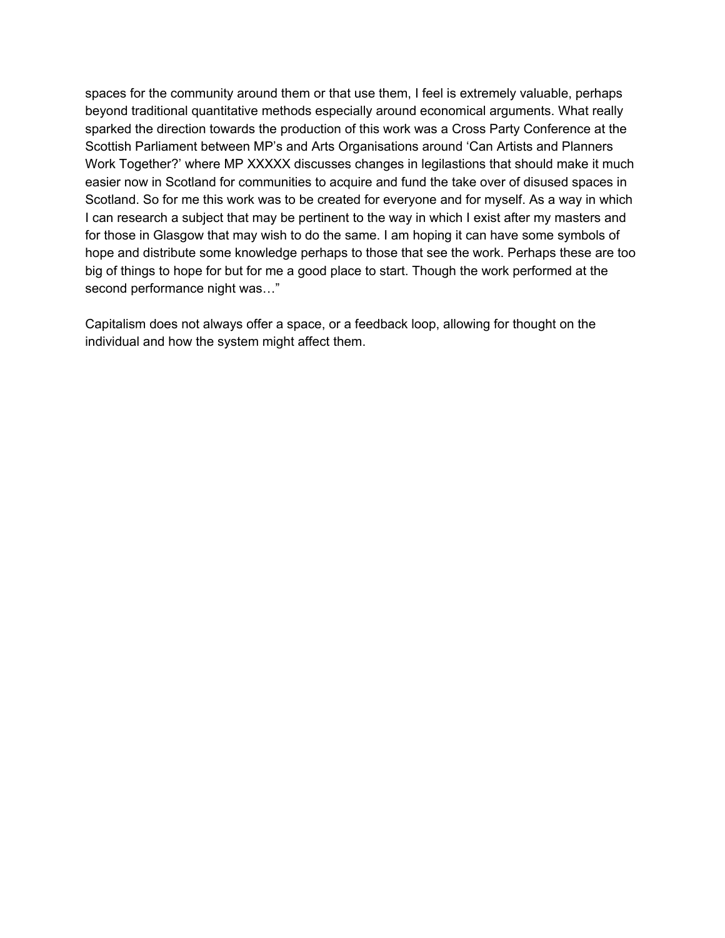spaces for the community around them or that use them, I feel is extremely valuable, perhaps beyond traditional quantitative methods especially around economical arguments. What really sparked the direction towards the production of this work was a Cross Party Conference at the Scottish Parliament between MP's and Arts Organisations around 'Can Artists and Planners Work Together?' where MP XXXXX discusses changes in legilastions that should make it much easier now in Scotland for communities to acquire and fund the take over of disused spaces in Scotland. So for me this work was to be created for everyone and for myself. As a way in which I can research a subject that may be pertinent to the way in which I exist after my masters and for those in Glasgow that may wish to do the same. I am hoping it can have some symbols of hope and distribute some knowledge perhaps to those that see the work. Perhaps these are too big of things to hope for but for me a good place to start. Though the work performed at the second performance night was…"

Capitalism does not always offer a space, or a feedback loop, allowing for thought on the individual and how the system might affect them.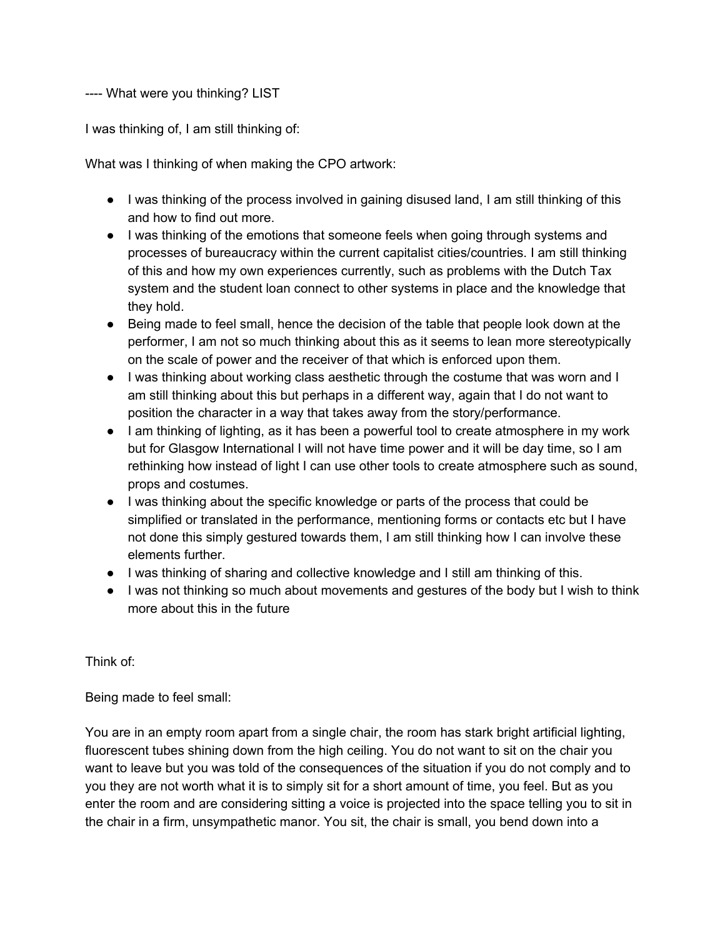## ---- What were you thinking? LIST

I was thinking of, I am still thinking of:

What was I thinking of when making the CPO artwork:

- I was thinking of the process involved in gaining disused land, I am still thinking of this and how to find out more.
- I was thinking of the emotions that someone feels when going through systems and processes of bureaucracy within the current capitalist cities/countries. I am still thinking of this and how my own experiences currently, such as problems with the Dutch Tax system and the student loan connect to other systems in place and the knowledge that they hold.
- Being made to feel small, hence the decision of the table that people look down at the performer, I am not so much thinking about this as it seems to lean more stereotypically on the scale of power and the receiver of that which is enforced upon them.
- I was thinking about working class aesthetic through the costume that was worn and I am still thinking about this but perhaps in a different way, again that I do not want to position the character in a way that takes away from the story/performance.
- I am thinking of lighting, as it has been a powerful tool to create atmosphere in my work but for Glasgow International I will not have time power and it will be day time, so I am rethinking how instead of light I can use other tools to create atmosphere such as sound, props and costumes.
- I was thinking about the specific knowledge or parts of the process that could be simplified or translated in the performance, mentioning forms or contacts etc but I have not done this simply gestured towards them, I am still thinking how I can involve these elements further.
- I was thinking of sharing and collective knowledge and I still am thinking of this.
- I was not thinking so much about movements and gestures of the body but I wish to think more about this in the future

Think of:

Being made to feel small:

You are in an empty room apart from a single chair, the room has stark bright artificial lighting, fluorescent tubes shining down from the high ceiling. You do not want to sit on the chair you want to leave but you was told of the consequences of the situation if you do not comply and to you they are not worth what it is to simply sit for a short amount of time, you feel. But as you enter the room and are considering sitting a voice is projected into the space telling you to sit in the chair in a firm, unsympathetic manor. You sit, the chair is small, you bend down into a